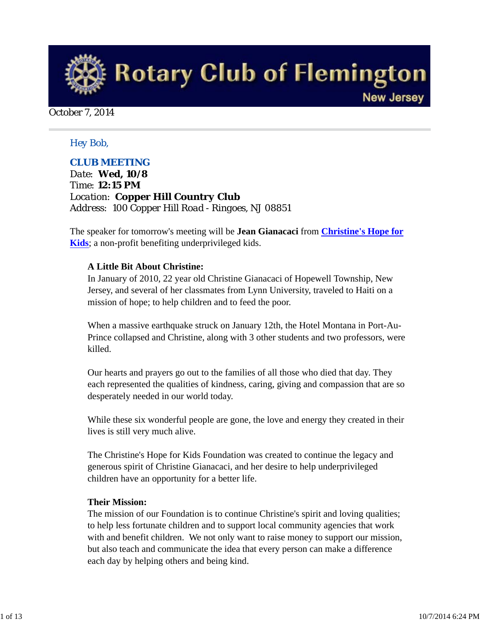

October 7, 2014

#### *Hey Bob,*

#### *CLUB MEETING*

*Date: Wed, 10/8 Time: 12:15 PM Location: Copper Hill Country Club Address: 100 Copper Hill Road - Ringoes, NJ 08851*

The speaker for tomorrow's meeting will be **Jean Gianacaci** from **Christine's Hope for Kids**; a non-profit benefiting underprivileged kids.

#### **A Little Bit About Christine:**

In January of 2010, 22 year old Christine Gianacaci of Hopewell Township, New Jersey, and several of her classmates from Lynn University, traveled to Haiti on a mission of hope; to help children and to feed the poor.

When a massive earthquake struck on January 12th, the Hotel Montana in Port-Au-Prince collapsed and Christine, along with 3 other students and two professors, were killed.

Our hearts and prayers go out to the families of all those who died that day. They each represented the qualities of kindness, caring, giving and compassion that are so desperately needed in our world today.

While these six wonderful people are gone, the love and energy they created in their lives is still very much alive.

The Christine's Hope for Kids Foundation was created to continue the legacy and generous spirit of Christine Gianacaci, and her desire to help underprivileged children have an opportunity for a better life.

#### **Their Mission:**

The mission of our Foundation is to continue Christine's spirit and loving qualities; to help less fortunate children and to support local community agencies that work with and benefit children. We not only want to raise money to support our mission, but also teach and communicate the idea that every person can make a difference each day by helping others and being kind.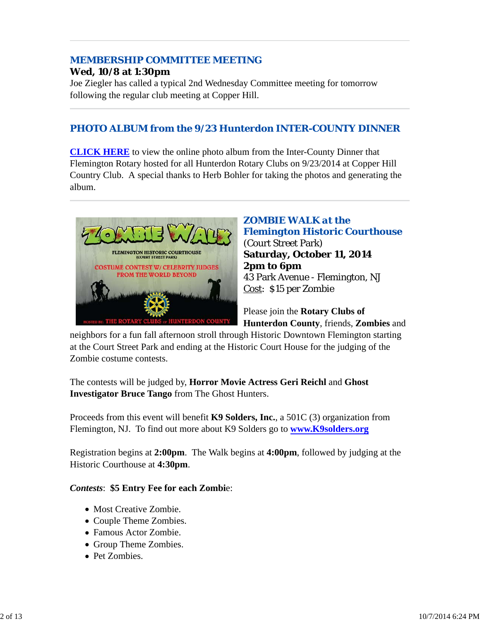# *MEMBERSHIP COMMITTEE MEETING*

#### **Wed, 10/8 at 1:30pm**

Joe Ziegler has called a typical 2nd Wednesday Committee meeting for tomorrow following the regular club meeting at Copper Hill.

## *PHOTO ALBUM from the 9/23 Hunterdon INTER-COUNTY DINNER*

**CLICK HERE** to view the online photo album from the Inter-County Dinner that Flemington Rotary hosted for all Hunterdon Rotary Clubs on 9/23/2014 at Copper Hill Country Club. A special thanks to Herb Bohler for taking the photos and generating the album.



#### *ZOMBIE WALK at the Flemington Historic Courthouse* (Court Street Park)

**Saturday, October 11, 2014 2pm to 6pm** 43 Park Avenue - Flemington, NJ Cost: \$15 per Zombie

Please join the **Rotary Clubs of Hunterdon County**, friends, **Zombies** and

neighbors for a fun fall afternoon stroll through Historic Downtown Flemington starting at the Court Street Park and ending at the Historic Court House for the judging of the Zombie costume contests.

The contests will be judged by, **Horror Movie Actress Geri Reichl** and **Ghost Investigator Bruce Tango** from The Ghost Hunters.

Proceeds from this event will benefit **K9 Solders, Inc.**, a 501C (3) organization from Flemington, NJ. To find out more about K9 Solders go to **www.K9solders.org**

Registration begins at **2:00pm**. The Walk begins at **4:00pm**, followed by judging at the Historic Courthouse at **4:30pm**.

#### *Contests*: **\$5 Entry Fee for each Zombi**e:

- Most Creative Zombie.
- Couple Theme Zombies.
- Famous Actor Zombie.
- Group Theme Zombies.
- Pet Zombies.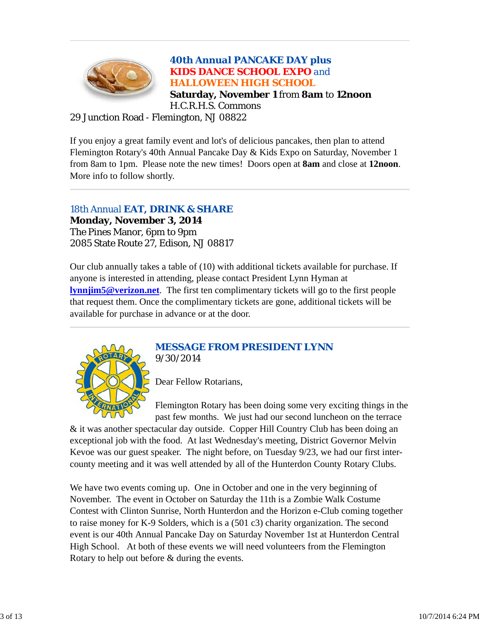

#### *40th Annual PANCAKE DAY plus KIDS DANCE SCHOOL EXPO and HALLOWEEN HIGH SCHOOL* **Saturday, November 1** from **8am** to **12noon** H.C.R.H.S. Commons

#### 29 Junction Road - Flemington, NJ 08822

If you enjoy a great family event and lot's of delicious pancakes, then plan to attend Flemington Rotary's 40th Annual Pancake Day & Kids Expo on Saturday, November 1 from 8am to 1pm. Please note the new times! Doors open at **8am** and close at **12noon**. More info to follow shortly.

#### *18th Annual EAT, DRINK & SHARE*

**Monday, November 3, 2014** The Pines Manor, 6pm to 9pm 2085 State Route 27, Edison, NJ 08817

Our club annually takes a table of (10) with additional tickets available for purchase. If anyone is interested in attending, please contact President Lynn Hyman at **lynnjim5@verizon.net**. The first ten complimentary tickets will go to the first people that request them. Once the complimentary tickets are gone, additional tickets will be available for purchase in advance or at the door.



#### *MESSAGE FROM PRESIDENT LYNN 9/30/2014*

Dear Fellow Rotarians,

Flemington Rotary has been doing some very exciting things in the past few months. We just had our second luncheon on the terrace

& it was another spectacular day outside. Copper Hill Country Club has been doing an exceptional job with the food. At last Wednesday's meeting, District Governor Melvin Kevoe was our guest speaker. The night before, on Tuesday 9/23, we had our first intercounty meeting and it was well attended by all of the Hunterdon County Rotary Clubs.

We have two events coming up. One in October and one in the very beginning of November. The event in October on Saturday the 11th is a Zombie Walk Costume Contest with Clinton Sunrise, North Hunterdon and the Horizon e-Club coming together to raise money for K-9 Solders, which is a (501 c3) charity organization. The second event is our 40th Annual Pancake Day on Saturday November 1st at Hunterdon Central High School. At both of these events we will need volunteers from the Flemington Rotary to help out before & during the events.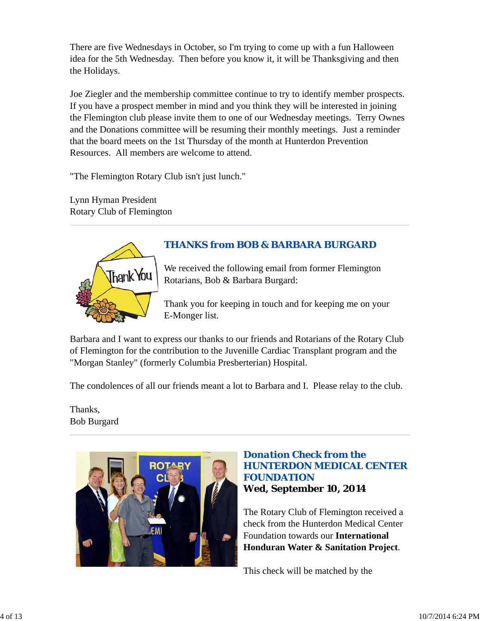There are five Wednesdays in October, so I'm trying to come up with a fun Halloween idea for the 5th Wednesday. Then before you know it, it will be Thanksgiving and then the Holidays.

Joe Ziegler and the membership committee continue to try to identify member prospects. If you have a prospect member in mind and you think they will be interested in joining the Flemington club please invite them to one of our Wednesday meetings. Terry Ownes and the Donations committee will be resuming their monthly meetings. Just a reminder that the board meets on the 1st Thursday of the month at Hunterdon Prevention Resources. All members are welcome to attend.

"The Flemington Rotary Club isn't just lunch."

Lynn Hyman President Rotary Club of Flemington



# *THANKS from BOB & BARBARA BURGARD*

We received the following email from former Flemington Rotarians, Bob & Barbara Burgard:

Thank you for keeping in touch and for keeping me on your E-Monger list.

Barbara and I want to express our thanks to our friends and Rotarians of the Rotary Club of Flemington for the contribution to the Juvenille Cardiac Transplant program and the "Morgan Stanley" (formerly Columbia Presberterian) Hospital.

The condolences of all our friends meant a lot to Barbara and I. Please relay to the club.

Thanks, Bob Burgard



#### *Donation Check from the HUNTERDON MEDICAL CENTER FOUNDATION* **Wed, September 10, 2014**

The Rotary Club of Flemington received a check from the Hunterdon Medical Center Foundation towards our **International Honduran Water & Sanitation Project**.

This check will be matched by the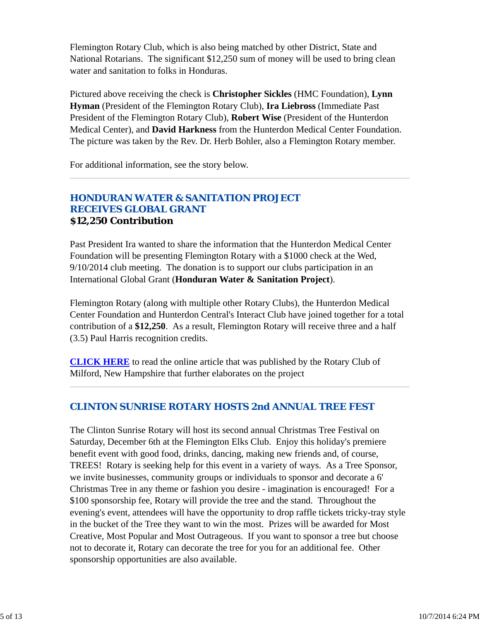Flemington Rotary Club, which is also being matched by other District, State and National Rotarians. The significant \$12,250 sum of money will be used to bring clean water and sanitation to folks in Honduras.

Pictured above receiving the check is **Christopher Sickles** (HMC Foundation), **Lynn Hyman** (President of the Flemington Rotary Club), **Ira Liebross** (Immediate Past President of the Flemington Rotary Club), **Robert Wise** (President of the Hunterdon Medical Center), and **David Harkness** from the Hunterdon Medical Center Foundation. The picture was taken by the Rev. Dr. Herb Bohler, also a Flemington Rotary member.

For additional information, see the story below.

#### *HONDURAN WATER & SANITATION PROJECT RECEIVES GLOBAL GRANT* **\$12,250 Contribution**

Past President Ira wanted to share the information that the Hunterdon Medical Center Foundation will be presenting Flemington Rotary with a \$1000 check at the Wed, 9/10/2014 club meeting. The donation is to support our clubs participation in an International Global Grant (**Honduran Water & Sanitation Project**).

Flemington Rotary (along with multiple other Rotary Clubs), the Hunterdon Medical Center Foundation and Hunterdon Central's Interact Club have joined together for a total contribution of a **\$12,250**. As a result, Flemington Rotary will receive three and a half (3.5) Paul Harris recognition credits.

**CLICK HERE** to read the online article that was published by the Rotary Club of Milford, New Hampshire that further elaborates on the project

#### *CLINTON SUNRISE ROTARY HOSTS 2nd ANNUAL TREE FEST*

The Clinton Sunrise Rotary will host its second annual Christmas Tree Festival on Saturday, December 6th at the Flemington Elks Club. Enjoy this holiday's premiere benefit event with good food, drinks, dancing, making new friends and, of course, TREES! Rotary is seeking help for this event in a variety of ways. As a Tree Sponsor, we invite businesses, community groups or individuals to sponsor and decorate a 6' Christmas Tree in any theme or fashion you desire - imagination is encouraged! For a \$100 sponsorship fee, Rotary will provide the tree and the stand. Throughout the evening's event, attendees will have the opportunity to drop raffle tickets tricky-tray style in the bucket of the Tree they want to win the most. Prizes will be awarded for Most Creative, Most Popular and Most Outrageous. If you want to sponsor a tree but choose not to decorate it, Rotary can decorate the tree for you for an additional fee. Other sponsorship opportunities are also available.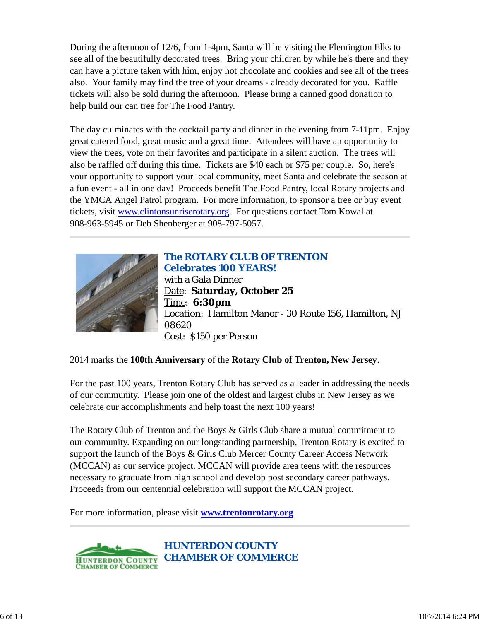During the afternoon of 12/6, from 1-4pm, Santa will be visiting the Flemington Elks to see all of the beautifully decorated trees. Bring your children by while he's there and they can have a picture taken with him, enjoy hot chocolate and cookies and see all of the trees also. Your family may find the tree of your dreams - already decorated for you. Raffle tickets will also be sold during the afternoon. Please bring a canned good donation to help build our can tree for The Food Pantry.

The day culminates with the cocktail party and dinner in the evening from 7-11pm. Enjoy great catered food, great music and a great time. Attendees will have an opportunity to view the trees, vote on their favorites and participate in a silent auction. The trees will also be raffled off during this time. Tickets are \$40 each or \$75 per couple. So, here's your opportunity to support your local community, meet Santa and celebrate the season at a fun event - all in one day! Proceeds benefit The Food Pantry, local Rotary projects and the YMCA Angel Patrol program. For more information, to sponsor a tree or buy event tickets, visit www.clintonsunriserotary.org. For questions contact Tom Kowal at 908-963-5945 or Deb Shenberger at 908-797-5057.



#### *The ROTARY CLUB OF TRENTON Celebrates 100 YEARS!* with a Gala Dinner

Date: **Saturday, October 25** Time: **6:30pm** Location: Hamilton Manor - 30 Route 156, Hamilton, NJ 08620 Cost: \$150 per Person

#### 2014 marks the **100th Anniversary** of the **Rotary Club of Trenton, New Jersey**.

For the past 100 years, Trenton Rotary Club has served as a leader in addressing the needs of our community. Please join one of the oldest and largest clubs in New Jersey as we celebrate our accomplishments and help toast the next 100 years!

The Rotary Club of Trenton and the Boys & Girls Club share a mutual commitment to our community. Expanding on our longstanding partnership, Trenton Rotary is excited to support the launch of the Boys & Girls Club Mercer County Career Access Network (MCCAN) as our service project. MCCAN will provide area teens with the resources necessary to graduate from high school and develop post secondary career pathways. Proceeds from our centennial celebration will support the MCCAN project.

For more information, please visit **www.trentonrotary.org**



*HUNTERDON COUNTY CHAMBER OF COMMERCE*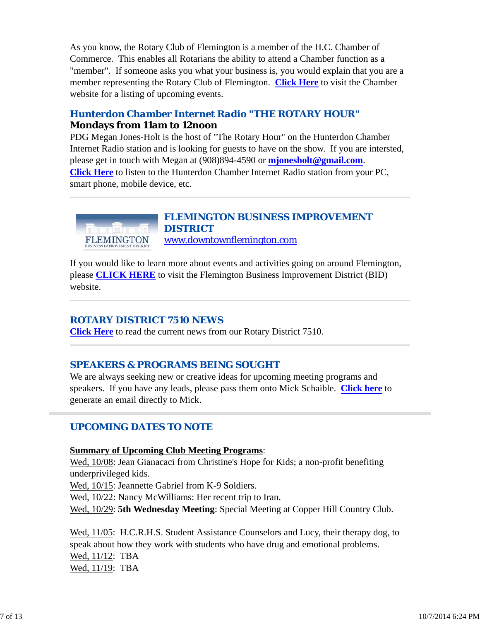As you know, the Rotary Club of Flemington is a member of the H.C. Chamber of Commerce. This enables all Rotarians the ability to attend a Chamber function as a "member". If someone asks you what your business is, you would explain that you are a member representing the Rotary Club of Flemington. **Click Here** to visit the Chamber website for a listing of upcoming events.

### *Hunterdon Chamber Internet Radio "THE ROTARY HOUR"* **Mondays from 11am to 12noon**

PDG Megan Jones-Holt is the host of "The Rotary Hour" on the Hunterdon Chamber Internet Radio station and is looking for guests to have on the show. If you are intersted, please get in touch with Megan at (908)894-4590 or **mjonesholt@gmail.com**. **Click Here** to listen to the Hunterdon Chamber Internet Radio station from your PC, smart phone, mobile device, etc.



#### *FLEMINGTON BUSINESS IMPROVEMENT DISTRICT* www.downtownflemington.com

If you would like to learn more about events and activities going on around Flemington, please **CLICK HERE** to visit the Flemington Business Improvement District (BID) website.

#### *ROTARY DISTRICT 7510 NEWS*

**Click Here** to read the current news from our Rotary District 7510.

## *SPEAKERS & PROGRAMS BEING SOUGHT*

We are always seeking new or creative ideas for upcoming meeting programs and speakers. If you have any leads, please pass them onto Mick Schaible. **Click here** to generate an email directly to Mick.

## *UPCOMING DATES TO NOTE*

#### **Summary of Upcoming Club Meeting Programs**:

Wed, 10/08: Jean Gianacaci from Christine's Hope for Kids; a non-profit benefiting underprivileged kids.

Wed, 10/15: Jeannette Gabriel from K-9 Soldiers.

Wed,  $10/22$ : Nancy McWilliams: Her recent trip to Iran.

Wed, 10/29: **5th Wednesday Meeting**: Special Meeting at Copper Hill Country Club.

Wed, 11/05: H.C.R.H.S. Student Assistance Counselors and Lucy, their therapy dog, to speak about how they work with students who have drug and emotional problems. Wed, 11/12: TBA Wed, 11/19: TBA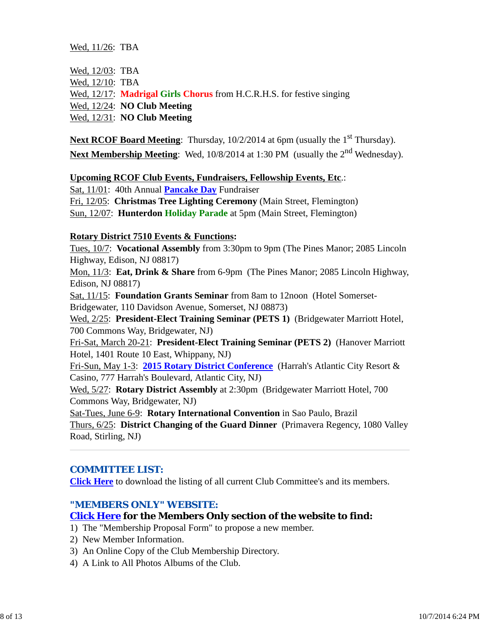Wed, 11/26: TBA

| Wed, 12/03: TBA |                                                                              |
|-----------------|------------------------------------------------------------------------------|
| Wed, 12/10: TBA |                                                                              |
|                 | Wed, 12/17: <b>Madrigal Girls Chorus</b> from H.C.R.H.S. for festive singing |
|                 | Wed, $12/24$ : <b>NO Club Meeting</b>                                        |
|                 | Wed, $12/31$ : <b>NO Club Meeting</b>                                        |

Next RCOF Board Meeting: Thursday, 10/2/2014 at 6pm (usually the 1<sup>st</sup> Thursday). Next Membership Meeting: Wed, 10/8/2014 at 1:30 PM (usually the 2<sup>nd</sup> Wednesday).

#### **Upcoming RCOF Club Events, Fundraisers, Fellowship Events, Etc**.:

Sat, 11/01: 40th Annual **Pancake Day** Fundraiser

Fri, 12/05: **Christmas Tree Lighting Ceremony** (Main Street, Flemington)

Sun, 12/07: **Hunterdon Holiday Parade** at 5pm (Main Street, Flemington)

#### **Rotary District 7510 Events & Functions:**

Tues, 10/7: **Vocational Assembly** from 3:30pm to 9pm (The Pines Manor; 2085 Lincoln Highway, Edison, NJ 08817)

Mon, 11/3: **Eat, Drink & Share** from 6-9pm (The Pines Manor; 2085 Lincoln Highway, Edison, NJ 08817)

Sat, 11/15: **Foundation Grants Seminar** from 8am to 12noon (Hotel Somerset-Bridgewater, 110 Davidson Avenue, Somerset, NJ 08873)

Wed, 2/25: **President-Elect Training Seminar (PETS 1)** (Bridgewater Marriott Hotel, 700 Commons Way, Bridgewater, NJ)

Fri-Sat, March 20-21: **President-Elect Training Seminar (PETS 2)** (Hanover Marriott Hotel, 1401 Route 10 East, Whippany, NJ)

Fri-Sun, May 1-3: **2015 Rotary District Conference** (Harrah's Atlantic City Resort & Casino, 777 Harrah's Boulevard, Atlantic City, NJ)

Wed, 5/27: **Rotary District Assembly** at 2:30pm (Bridgewater Marriott Hotel, 700 Commons Way, Bridgewater, NJ)

Sat-Tues, June 6-9: **Rotary International Convention** in Sao Paulo, Brazil

Thurs, 6/25: **District Changing of the Guard Dinner** (Primavera Regency, 1080 Valley Road, Stirling, NJ)

#### *COMMITTEE LIST:*

**Click Here** to download the listing of all current Club Committee's and its members.

#### *"MEMBERS ONLY" WEBSITE:*

#### **Click Here for the Members Only section of the website to find:**

1) The "Membership Proposal Form" to propose a new member.

- 2) New Member Information.
- 3) An Online Copy of the Club Membership Directory.
- 4) A Link to All Photos Albums of the Club.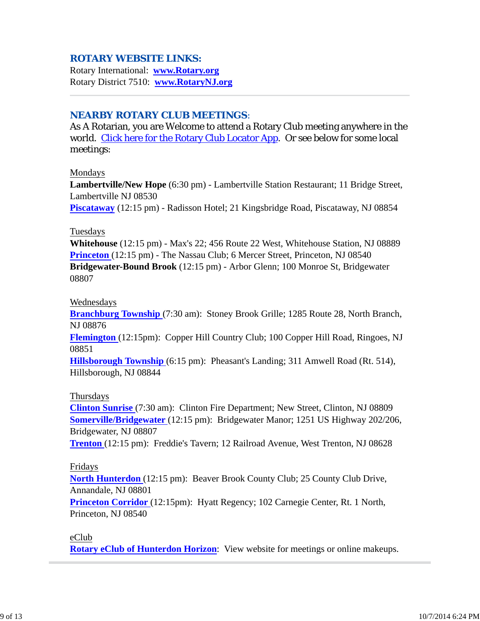#### *ROTARY WEBSITE LINKS:*

Rotary International: **www.Rotary.org** Rotary District 7510: **www.RotaryNJ.org**

#### *NEARBY ROTARY CLUB MEETINGS:*

As A Rotarian, you are Welcome to attend a Rotary Club meeting anywhere in the world. Click here for the Rotary Club Locator App. Or see below for some local meetings:

#### Mondays

**Lambertville/New Hope** (6:30 pm) - Lambertville Station Restaurant; 11 Bridge Street, Lambertville NJ 08530

**Piscataway** (12:15 pm) - Radisson Hotel; 21 Kingsbridge Road, Piscataway, NJ 08854

#### Tuesdays

**Whitehouse** (12:15 pm) - Max's 22; 456 Route 22 West, Whitehouse Station, NJ 08889 **Princeton** (12:15 pm) - The Nassau Club; 6 Mercer Street, Princeton, NJ 08540 **Bridgewater-Bound Brook** (12:15 pm) - Arbor Glenn; 100 Monroe St, Bridgewater 08807

#### Wednesdays

**Branchburg Township** (7:30 am): Stoney Brook Grille; 1285 Route 28, North Branch, NJ 08876

**Flemington** (12:15pm): Copper Hill Country Club; 100 Copper Hill Road, Ringoes, NJ 08851

**Hillsborough Township** (6:15 pm): Pheasant's Landing; 311 Amwell Road (Rt. 514), Hillsborough, NJ 08844

#### Thursdays

**Clinton Sunrise** (7:30 am): Clinton Fire Department; New Street, Clinton, NJ 08809 **Somerville/Bridgewater** (12:15 pm): Bridgewater Manor; 1251 US Highway 202/206, Bridgewater, NJ 08807

**Trenton** (12:15 pm): Freddie's Tavern; 12 Railroad Avenue, West Trenton, NJ 08628

#### Fridays

**North Hunterdon** (12:15 pm): Beaver Brook County Club; 25 County Club Drive, Annandale, NJ 08801

**Princeton Corridor** (12:15pm): Hyatt Regency; 102 Carnegie Center, Rt. 1 North, Princeton, NJ 08540

#### eClub

**Rotary eClub of Hunterdon Horizon**: View website for meetings or online makeups.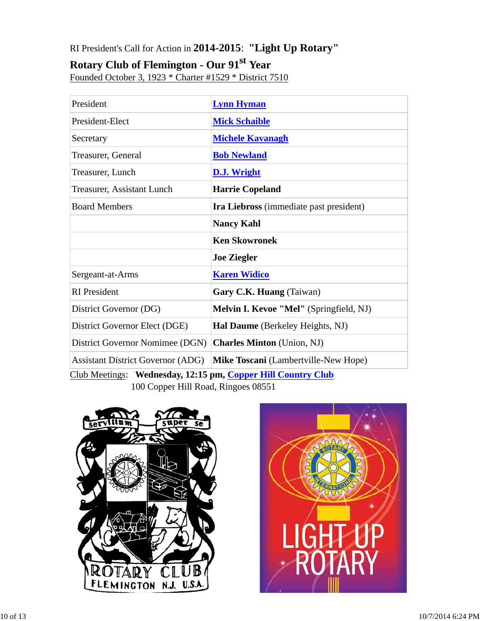# RI President's Call for Action in **2014-2015**: **"Light Up Rotary"**

# **Rotary Club of Flemington - Our 91st Year**

Founded October 3, 1923 \* Charter #1529 \* District 7510

| President                                                    | <b>Lynn Hyman</b>                              |  |  |  |
|--------------------------------------------------------------|------------------------------------------------|--|--|--|
| President-Elect                                              | <b>Mick Schaible</b>                           |  |  |  |
| Secretary                                                    | <b>Michele Kavanagh</b>                        |  |  |  |
| Treasurer, General                                           | <b>Bob Newland</b>                             |  |  |  |
| Treasurer, Lunch                                             | <b>D.J. Wright</b>                             |  |  |  |
| <b>Treasurer, Assistant Lunch</b>                            | <b>Harrie Copeland</b>                         |  |  |  |
| <b>Board Members</b>                                         | <b>Ira Liebross</b> (immediate past president) |  |  |  |
|                                                              | <b>Nancy Kahl</b>                              |  |  |  |
|                                                              | <b>Ken Skowronek</b>                           |  |  |  |
|                                                              | <b>Joe Ziegler</b>                             |  |  |  |
| Sergeant-at-Arms                                             | <b>Karen Widico</b>                            |  |  |  |
| <b>RI</b> President                                          | Gary C.K. Huang (Taiwan)                       |  |  |  |
| District Governor (DG)                                       | Melvin I. Kevoe "Mel" (Springfield, NJ)        |  |  |  |
| District Governor Elect (DGE)                                | Hal Daume (Berkeley Heights, NJ)               |  |  |  |
| District Governor Nomimee (DGN)                              | <b>Charles Minton</b> (Union, NJ)              |  |  |  |
| <b>Assistant District Governor (ADG)</b>                     | Mike Toscani (Lambertville-New Hope)           |  |  |  |
| Club Meetings: Wednesday, 12:15 pm, Copper Hill Country Club |                                                |  |  |  |

100 Copper Hill Road, Ringoes 08551



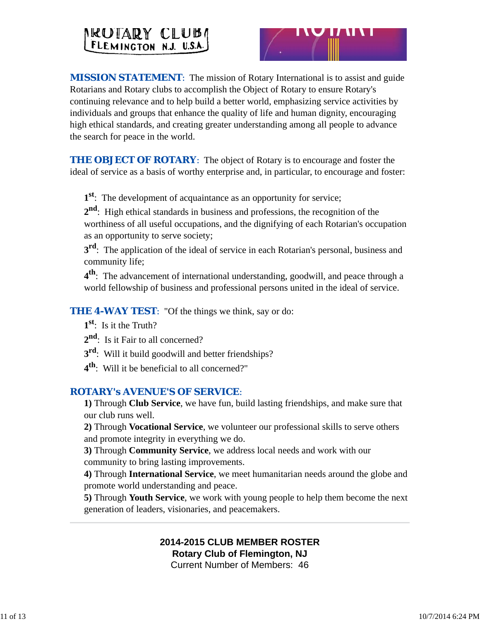# NEUTARY CLUBA



**MISSION STATEMENT:** The mission of Rotary International is to assist and guide Rotarians and Rotary clubs to accomplish the Object of Rotary to ensure Rotary's continuing relevance and to help build a better world, emphasizing service activities by individuals and groups that enhance the quality of life and human dignity, encouraging high ethical standards, and creating greater understanding among all people to advance the search for peace in the world.

**THE OBJECT OF ROTARY:** The object of Rotary is to encourage and foster the ideal of service as a basis of worthy enterprise and, in particular, to encourage and foster:

**1st**: The development of acquaintance as an opportunity for service;

**2nd**: High ethical standards in business and professions, the recognition of the worthiness of all useful occupations, and the dignifying of each Rotarian's occupation as an opportunity to serve society;

**3<sup>rd</sup>**: The application of the ideal of service in each Rotarian's personal, business and community life;

**4th**: The advancement of international understanding, goodwill, and peace through a world fellowship of business and professional persons united in the ideal of service.

*THE 4-WAY TEST*: "Of the things we think, say or do:

**1st**: Is it the Truth?

2<sup>nd</sup>: Is it Fair to all concerned?

**3rd**: Will it build goodwill and better friendships?

**4th**: Will it be beneficial to all concerned?"

#### *ROTARY's AVENUE'S OF SERVICE*:

**1)** Through **Club Service**, we have fun, build lasting friendships, and make sure that our club runs well.

**2)** Through **Vocational Service**, we volunteer our professional skills to serve others and promote integrity in everything we do.

**3)** Through **Community Service**, we address local needs and work with our community to bring lasting improvements.

**4)** Through **International Service**, we meet humanitarian needs around the globe and promote world understanding and peace.

**5)** Through **Youth Service**, we work with young people to help them become the next generation of leaders, visionaries, and peacemakers.

# **2014-2015 CLUB MEMBER ROSTER Rotary Club of Flemington, NJ**

Current Number of Members: 46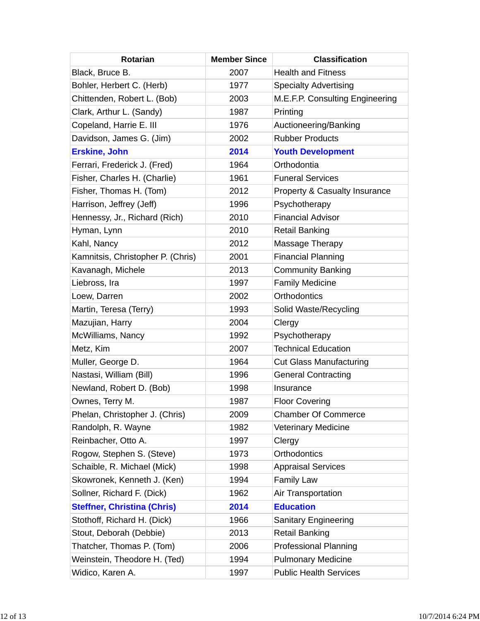| <b>Rotarian</b>                    | <b>Member Since</b> | <b>Classification</b>           |
|------------------------------------|---------------------|---------------------------------|
| Black, Bruce B.                    | 2007                | <b>Health and Fitness</b>       |
| Bohler, Herbert C. (Herb)          | 1977                | <b>Specialty Advertising</b>    |
| Chittenden, Robert L. (Bob)        | 2003                | M.E.F.P. Consulting Engineering |
| Clark, Arthur L. (Sandy)           | 1987                | Printing                        |
| Copeland, Harrie E. III            | 1976                | Auctioneering/Banking           |
| Davidson, James G. (Jim)           | 2002                | <b>Rubber Products</b>          |
| <b>Erskine, John</b>               | 2014                | <b>Youth Development</b>        |
| Ferrari, Frederick J. (Fred)       | 1964                | Orthodontia                     |
| Fisher, Charles H. (Charlie)       | 1961                | <b>Funeral Services</b>         |
| Fisher, Thomas H. (Tom)            | 2012                | Property & Casualty Insurance   |
| Harrison, Jeffrey (Jeff)           | 1996                | Psychotherapy                   |
| Hennessy, Jr., Richard (Rich)      | 2010                | <b>Financial Advisor</b>        |
| Hyman, Lynn                        | 2010                | <b>Retail Banking</b>           |
| Kahl, Nancy                        | 2012                | Massage Therapy                 |
| Kamnitsis, Christopher P. (Chris)  | 2001                | <b>Financial Planning</b>       |
| Kavanagh, Michele                  | 2013                | <b>Community Banking</b>        |
| Liebross, Ira                      | 1997                | <b>Family Medicine</b>          |
| Loew, Darren                       | 2002                | <b>Orthodontics</b>             |
| Martin, Teresa (Terry)             | 1993                | Solid Waste/Recycling           |
| Mazujian, Harry                    | 2004                | Clergy                          |
| McWilliams, Nancy                  | 1992                | Psychotherapy                   |
| Metz, Kim                          | 2007                | <b>Technical Education</b>      |
| Muller, George D.                  | 1964                | <b>Cut Glass Manufacturing</b>  |
| Nastasi, William (Bill)            | 1996                | <b>General Contracting</b>      |
| Newland, Robert D. (Bob)           | 1998                | Insurance                       |
| Ownes, Terry M.                    | 1987                | <b>Floor Covering</b>           |
| Phelan, Christopher J. (Chris)     | 2009                | <b>Chamber Of Commerce</b>      |
| Randolph, R. Wayne                 | 1982                | <b>Veterinary Medicine</b>      |
| Reinbacher, Otto A.                | 1997                | Clergy                          |
| Rogow, Stephen S. (Steve)          | 1973                | <b>Orthodontics</b>             |
| Schaible, R. Michael (Mick)        | 1998                | <b>Appraisal Services</b>       |
| Skowronek, Kenneth J. (Ken)        | 1994                | <b>Family Law</b>               |
| Sollner, Richard F. (Dick)         | 1962                | Air Transportation              |
| <b>Steffner, Christina (Chris)</b> | 2014                | <b>Education</b>                |
| Stothoff, Richard H. (Dick)        | 1966                | <b>Sanitary Engineering</b>     |
| Stout, Deborah (Debbie)            | 2013                | <b>Retail Banking</b>           |
| Thatcher, Thomas P. (Tom)          | 2006                | <b>Professional Planning</b>    |
| Weinstein, Theodore H. (Ted)       | 1994                | <b>Pulmonary Medicine</b>       |
| Widico, Karen A.                   | 1997                | <b>Public Health Services</b>   |